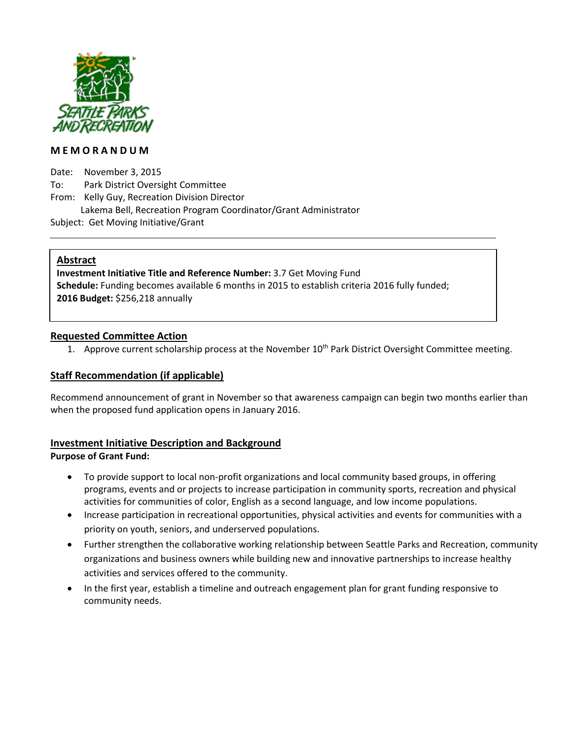

## **M E M O R A N D U M**

Date: November 3, 2015 To: Park District Oversight Committee From: Kelly Guy, Recreation Division Director

Lakema Bell, Recreation Program Coordinator/Grant Administrator

Subject: Get Moving Initiative/Grant

### **Abstract**

**Investment Initiative Title and Reference Number:** 3.7 Get Moving Fund **Schedule:** Funding becomes available 6 months in 2015 to establish criteria 2016 fully funded; **2016 Budget:** \$256,218 annually

### **Requested Committee Action**

1. Approve current scholarship process at the November 10<sup>th</sup> Park District Oversight Committee meeting.

### **Staff Recommendation (if applicable)**

Recommend announcement of grant in November so that awareness campaign can begin two months earlier than when the proposed fund application opens in January 2016.

## **Investment Initiative Description and Background**

### **Purpose of Grant Fund:**

- To provide support to local non-profit organizations and local community based groups, in offering programs, events and or projects to increase participation in community sports, recreation and physical activities for communities of color, English as a second language, and low income populations.
- Increase participation in recreational opportunities, physical activities and events for communities with a priority on youth, seniors, and underserved populations.
- Further strengthen the collaborative working relationship between Seattle Parks and Recreation, community organizations and business owners while building new and innovative partnerships to increase healthy activities and services offered to the community.
- In the first year, establish a timeline and outreach engagement plan for grant funding responsive to community needs.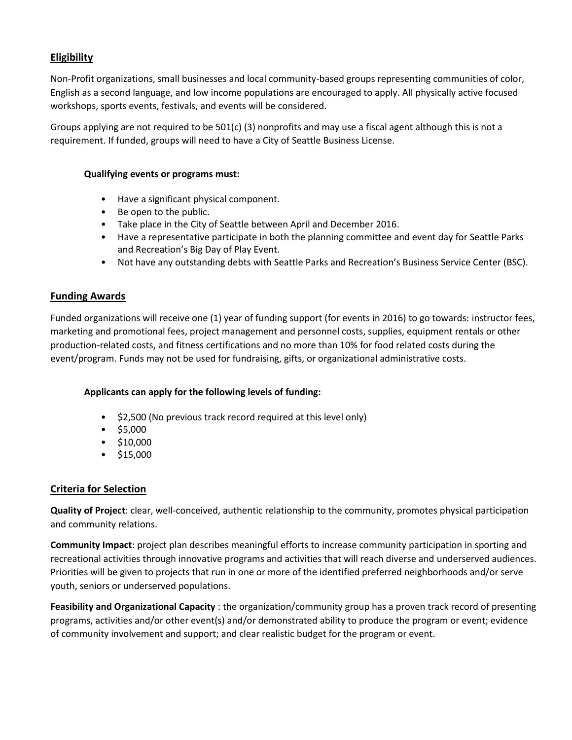# **Eligibility**

Non-Profit organizations, small businesses and local community-based groups representing communities of color, English as a second language, and low income populations are encouraged to apply. All physically active focused workshops, sports events, festivals, and events will be considered.

Groups applying are not required to be 501(c) (3) nonprofits and may use a fiscal agent although this is not a requirement. If funded, groups will need to have a City of Seattle Business License.

#### **Qualifying events or programs must:**

- Have a significant physical component.
- Be open to the public.
- Take place in the City of Seattle between April and December 2016.
- Have a representative participate in both the planning committee and event day for Seattle Parks and Recreation's Big Day of Play Event.
- Not have any outstanding debts with Seattle Parks and Recreation's Business Service Center (BSC).

### **Funding Awards**

Funded organizations will receive one (1) year of funding support (for events in 2016) to go towards: instructor fees, marketing and promotional fees, project management and personnel costs, supplies, equipment rentals or other production-related costs, and fitness certifications and no more than 10% for food related costs during the event/program. Funds may not be used for fundraising, gifts, or organizational administrative costs.

#### **Applicants can apply for the following levels of funding:**

- \$2,500 (No previous track record required at this level only)
- $•$  \$5,000
- \$10,000
- $\bullet$  \$15,000

## **Criteria for Selection**

**Quality of Project**: clear, well-conceived, authentic relationship to the community, promotes physical participation and community relations.

**Community Impact**: project plan describes meaningful efforts to increase community participation in sporting and recreational activities through innovative programs and activities that will reach diverse and underserved audiences. Priorities will be given to projects that run in one or more of the identified preferred neighborhoods and/or serve youth, seniors or underserved populations.

**Feasibility and Organizational Capacity** : the organization/community group has a proven track record of presenting programs, activities and/or other event(s) and/or demonstrated ability to produce the program or event; evidence of community involvement and support; and clear realistic budget for the program or event.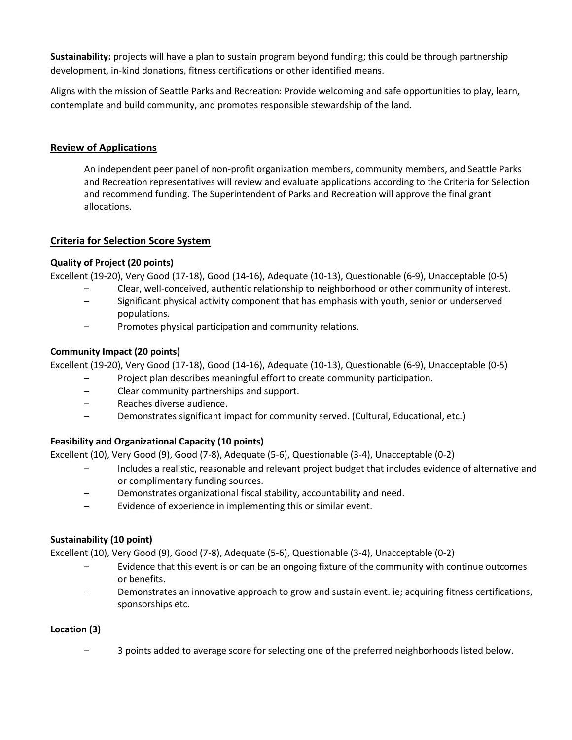**Sustainability:** projects will have a plan to sustain program beyond funding; this could be through partnership development, in-kind donations, fitness certifications or other identified means.

Aligns with the mission of Seattle Parks and Recreation: Provide welcoming and safe opportunities to play, learn, contemplate and build community, and promotes responsible stewardship of the land.

### **Review of Applications**

An independent peer panel of non-profit organization members, community members, and Seattle Parks and Recreation representatives will review and evaluate applications according to the Criteria for Selection and recommend funding. The Superintendent of Parks and Recreation will approve the final grant allocations.

## **Criteria for Selection Score System**

### **Quality of Project (20 points)**

Excellent (19-20), Very Good (17-18), Good (14-16), Adequate (10-13), Questionable (6-9), Unacceptable (0-5)

- Clear, well-conceived, authentic relationship to neighborhood or other community of interest.
- Significant physical activity component that has emphasis with youth, senior or underserved populations.
- Promotes physical participation and community relations.

### **Community Impact (20 points)**

Excellent (19-20), Very Good (17-18), Good (14-16), Adequate (10-13), Questionable (6-9), Unacceptable (0-5)

- Project plan describes meaningful effort to create community participation.
- Clear community partnerships and support.
- Reaches diverse audience.
- Demonstrates significant impact for community served. (Cultural, Educational, etc.)

## **Feasibility and Organizational Capacity (10 points)**

Excellent (10), Very Good (9), Good (7-8), Adequate (5-6), Questionable (3-4), Unacceptable (0-2)

- Includes a realistic, reasonable and relevant project budget that includes evidence of alternative and or complimentary funding sources.
- Demonstrates organizational fiscal stability, accountability and need.
- Evidence of experience in implementing this or similar event.

#### **Sustainability (10 point)**

Excellent (10), Very Good (9), Good (7-8), Adequate (5-6), Questionable (3-4), Unacceptable (0-2)

- Evidence that this event is or can be an ongoing fixture of the community with continue outcomes or benefits.
- Demonstrates an innovative approach to grow and sustain event. ie; acquiring fitness certifications, sponsorships etc.

## **Location (3)**

– 3 points added to average score for selecting one of the preferred neighborhoods listed below.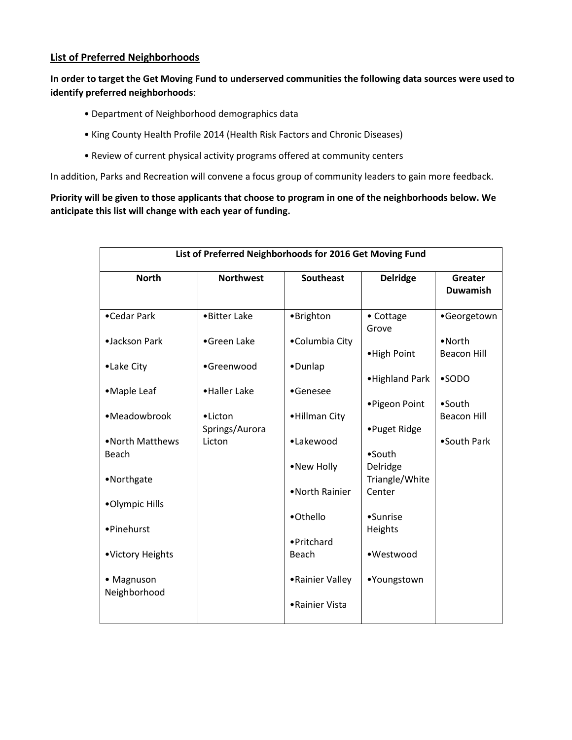## **List of Preferred Neighborhoods**

**In order to target the Get Moving Fund to underserved communities the following data sources were used to identify preferred neighborhoods**:

- Department of Neighborhood demographics data
- King County Health Profile 2014 (Health Risk Factors and Chronic Diseases)
- Review of current physical activity programs offered at community centers

In addition, Parks and Recreation will convene a focus group of community leaders to gain more feedback.

**Priority will be given to those applicants that choose to program in one of the neighborhoods below. We anticipate this list will change with each year of funding.**

| List of Preferred Neighborhoods for 2016 Get Moving Fund |                  |                  |                            |                                       |  |  |
|----------------------------------------------------------|------------------|------------------|----------------------------|---------------------------------------|--|--|
| <b>North</b>                                             | <b>Northwest</b> | <b>Southeast</b> | <b>Delridge</b>            | Greater<br><b>Duwamish</b>            |  |  |
| •Cedar Park                                              | •Bitter Lake     | •Brighton        | • Cottage<br>Grove         | •Georgetown                           |  |  |
| ·Jackson Park                                            | •Green Lake      | •Columbia City   | • High Point               | $\bullet$ North<br><b>Beacon Hill</b> |  |  |
| •Lake City                                               | •Greenwood       | ·Dunlap          |                            |                                       |  |  |
| •Maple Leaf                                              | •Haller Lake     | •Genesee         | • Highland Park            | $\bullet$ SODO                        |  |  |
| ·Meadowbrook                                             | •Licton          | •Hillman City    | • Pigeon Point             | •South<br><b>Beacon Hill</b>          |  |  |
|                                                          | Springs/Aurora   |                  | •Puget Ridge               |                                       |  |  |
| • North Matthews<br>Beach                                | Licton           | ·Lakewood        | $•$ South                  | •South Park                           |  |  |
| •Northgate                                               |                  | •New Holly       | Delridge<br>Triangle/White |                                       |  |  |
|                                                          |                  | •North Rainier   | Center                     |                                       |  |  |
| •Olympic Hills                                           |                  | •Othello         | •Sunrise                   |                                       |  |  |
| • Pinehurst                                              |                  | ·Pritchard       | Heights                    |                                       |  |  |
| •Victory Heights                                         |                  | Beach            | ·Westwood                  |                                       |  |  |
| • Magnuson<br>Neighborhood                               |                  | •Rainier Valley  | •Youngstown                |                                       |  |  |
|                                                          |                  | •Rainier Vista   |                            |                                       |  |  |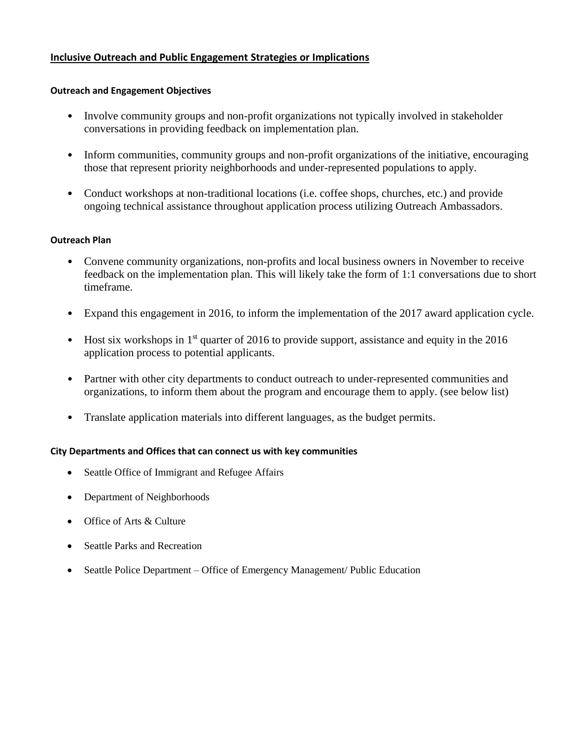# **Inclusive Outreach and Public Engagement Strategies or Implications**

### **Outreach and Engagement Objectives**

- Involve community groups and non-profit organizations not typically involved in stakeholder conversations in providing feedback on implementation plan.
- Inform communities, community groups and non-profit organizations of the initiative, encouraging those that represent priority neighborhoods and under-represented populations to apply.
- Conduct workshops at non-traditional locations (i.e. coffee shops, churches, etc.) and provide ongoing technical assistance throughout application process utilizing Outreach Ambassadors.

### **Outreach Plan**

- Convene community organizations, non-profits and local business owners in November to receive feedback on the implementation plan. This will likely take the form of 1:1 conversations due to short timeframe.
- Expand this engagement in 2016, to inform the implementation of the 2017 award application cycle.
- Host six workshops in 1<sup>st</sup> quarter of 2016 to provide support, assistance and equity in the 2016 application process to potential applicants.
- Partner with other city departments to conduct outreach to under-represented communities and organizations, to inform them about the program and encourage them to apply. (see below list)
- Translate application materials into different languages, as the budget permits.

#### **City Departments and Offices that can connect us with key communities**

- Seattle Office of Immigrant and Refugee Affairs
- Department of Neighborhoods
- Office of Arts & Culture
- Seattle Parks and Recreation
- Seattle Police Department Office of Emergency Management/ Public Education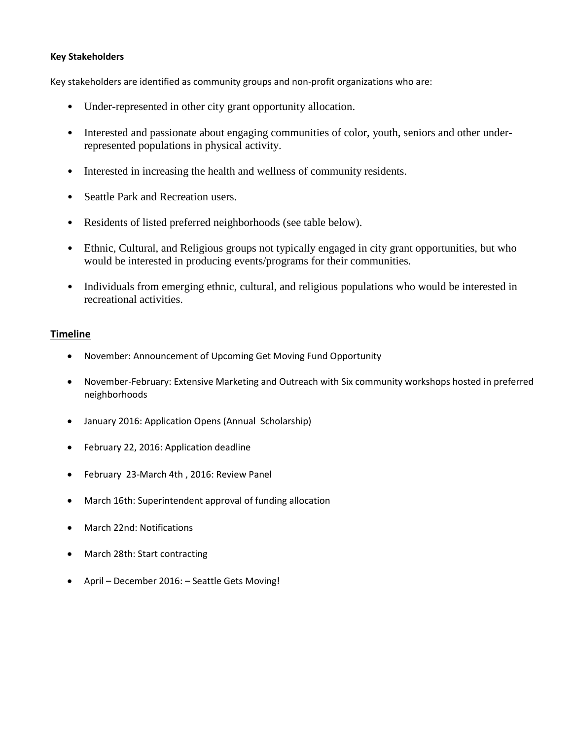#### **Key Stakeholders**

Key stakeholders are identified as community groups and non-profit organizations who are:

- Under-represented in other city grant opportunity allocation.
- Interested and passionate about engaging communities of color, youth, seniors and other underrepresented populations in physical activity.
- Interested in increasing the health and wellness of community residents.
- Seattle Park and Recreation users.
- Residents of listed preferred neighborhoods (see table below).
- Ethnic, Cultural, and Religious groups not typically engaged in city grant opportunities, but who would be interested in producing events/programs for their communities.
- Individuals from emerging ethnic, cultural, and religious populations who would be interested in recreational activities.

## **Timeline**

- November: Announcement of Upcoming Get Moving Fund Opportunity
- November-February: Extensive Marketing and Outreach with Six community workshops hosted in preferred neighborhoods
- January 2016: Application Opens (Annual Scholarship)
- February 22, 2016: Application deadline
- February 23-March 4th , 2016: Review Panel
- March 16th: Superintendent approval of funding allocation
- March 22nd: Notifications
- March 28th: Start contracting
- April December 2016: Seattle Gets Moving!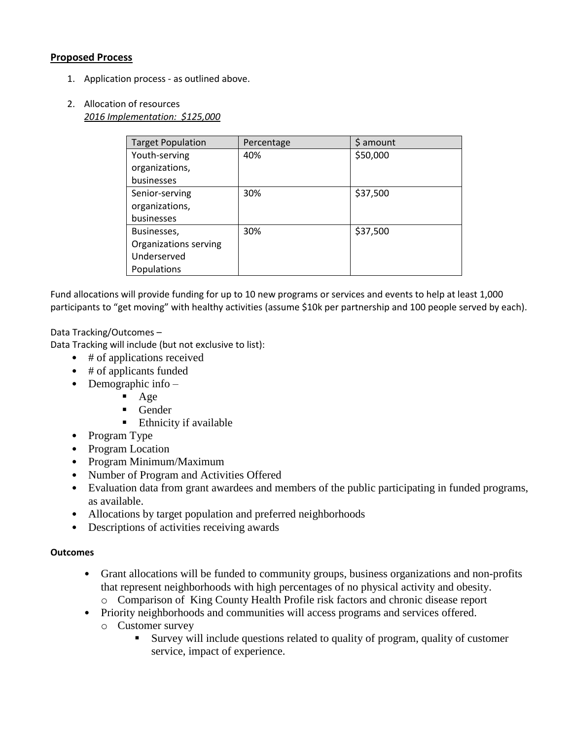### **Proposed Process**

- 1. Application process as outlined above.
- 2. Allocation of resources *2016 Implementation: \$125,000*

| <b>Target Population</b> | Percentage | \$ amount |
|--------------------------|------------|-----------|
| Youth-serving            | 40%        | \$50,000  |
| organizations,           |            |           |
| businesses               |            |           |
| Senior-serving           | 30%        | \$37,500  |
| organizations,           |            |           |
| businesses               |            |           |
| Businesses,              | 30%        | \$37,500  |
| Organizations serving    |            |           |
| Underserved              |            |           |
| Populations              |            |           |

Fund allocations will provide funding for up to 10 new programs or services and events to help at least 1,000 participants to "get moving" with healthy activities (assume \$10k per partnership and 100 people served by each).

### Data Tracking/Outcomes –

Data Tracking will include (but not exclusive to list):

- # of applications received
- # of applicants funded
- Demographic info
	- Age
	- Gender
	- **Ethnicity if available**
- Program Type
- Program Location
- Program Minimum/Maximum
- Number of Program and Activities Offered
- Evaluation data from grant awardees and members of the public participating in funded programs, as available.
- Allocations by target population and preferred neighborhoods
- Descriptions of activities receiving awards

#### **Outcomes**

- Grant allocations will be funded to community groups, business organizations and non-profits that represent neighborhoods with high percentages of no physical activity and obesity. o Comparison of King County Health Profile risk factors and chronic disease report
- Priority neighborhoods and communities will access programs and services offered.
	- o Customer survey
		- Survey will include questions related to quality of program, quality of customer service, impact of experience.